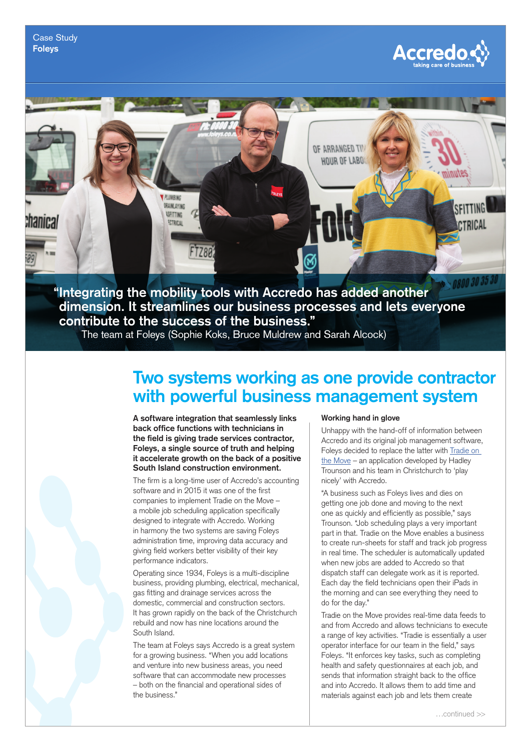

## *DE ARRANGED TV* **HOUR OF LABO PETMAIN** SFITTING **DEAINLAYING USTTTNO** :hanır:a **SCTRICA TRICAL** FT78A **"Integrating the mobility tools with Accredo has added another**

**dimension. It streamlines our business processes and lets everyone contribute to the success of the business."** 

The team at Foleys (Sophie Koks, Bruce Muldrew and Sarah Alcock)

# **Two systems working as one provide contractor with powerful business management system**

**A software integration that seamlessly links back office functions with technicians in the field is giving trade services contractor, Foleys, a single source of truth and helping it accelerate growth on the back of a positive South Island construction environment.**

The firm is a long-time user of Accredo's accounting software and in 2015 it was one of the first companies to implement Tradie on the Move – a mobile job scheduling application specifically designed to integrate with Accredo. Working in harmony the two systems are saving Foleys administration time, improving data accuracy and giving field workers better visibility of their key performance indicators.

Operating since 1934, Foleys is a multi-discipline business, providing plumbing, electrical, mechanical, gas fitting and drainage services across the domestic, commercial and construction sectors. It has grown rapidly on the back of the Christchurch rebuild and now has nine locations around the South Island.

The team at Foleys says Accredo is a great system for a growing business. "When you add locations and venture into new business areas, you need software that can accommodate new processes – both on the financial and operational sides of the business."

#### **Working hand in glove**

Unhappy with the hand-off of information between Accredo and its original job management software, Foleys decided to replace the latter with [Tradie on](http://www.tradieonthemove.com)  [the Move](http://www.tradieonthemove.com) – an application developed by Hadley Trounson and his team in Christchurch to 'play nicely' with Accredo.

"A business such as Foleys lives and dies on getting one job done and moving to the next one as quickly and efficiently as possible," says Trounson. "Job scheduling plays a very important part in that. Tradie on the Move enables a business to create run-sheets for staff and track job progress in real time. The scheduler is automatically updated when new jobs are added to Accredo so that dispatch staff can delegate work as it is reported. Each day the field technicians open their iPads in the morning and can see everything they need to do for the day."

Tradie on the Move provides real-time data feeds to and from Accredo and allows technicians to execute a range of key activities. "Tradie is essentially a user operator interface for our team in the field," says Foleys. "It enforces key tasks, such as completing health and safety questionnaires at each job, and sends that information straight back to the office and into Accredo. It allows them to add time and materials against each job and lets them create